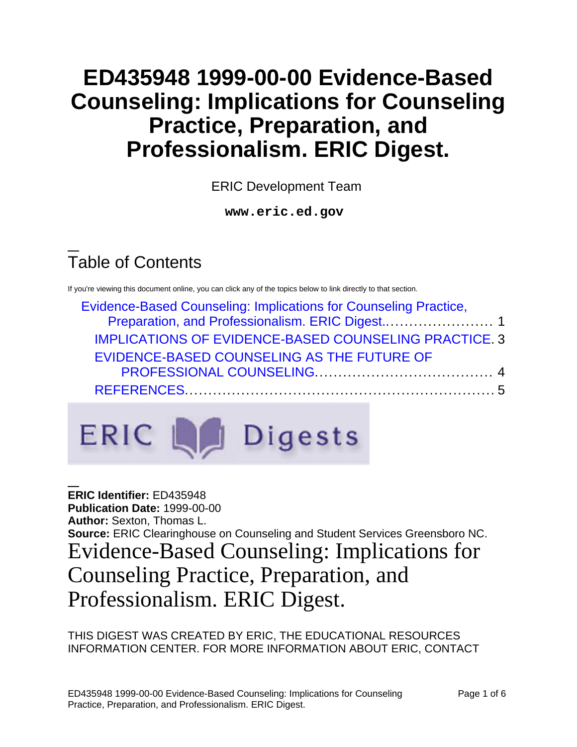# **ED435948 1999-00-00 Evidence-Based Counseling: Implications for Counseling Practice, Preparation, and Professionalism. ERIC Digest.**

ERIC Development Team

**www.eric.ed.gov**

# Table of Contents

If you're viewing this document online, you can click any of the topics below to link directly to that section.

| Evidence-Based Counseling: Implications for Counseling Practice, |  |
|------------------------------------------------------------------|--|
|                                                                  |  |
| <b>IMPLICATIONS OF EVIDENCE-BASED COUNSELING PRACTICE. 3</b>     |  |
| EVIDENCE-BASED COUNSELING AS THE FUTURE OF                       |  |
|                                                                  |  |
|                                                                  |  |
|                                                                  |  |



<span id="page-0-0"></span>**ERIC Identifier:** ED435948 **Publication Date:** 1999-00-00 **Author:** Sexton, Thomas L. **Source:** ERIC Clearinghouse on Counseling and Student Services Greensboro NC. Evidence-Based Counseling: Implications for Counseling Practice, Preparation, and Professionalism. ERIC Digest.

THIS DIGEST WAS CREATED BY ERIC, THE EDUCATIONAL RESOURCES INFORMATION CENTER. FOR MORE INFORMATION ABOUT ERIC, CONTACT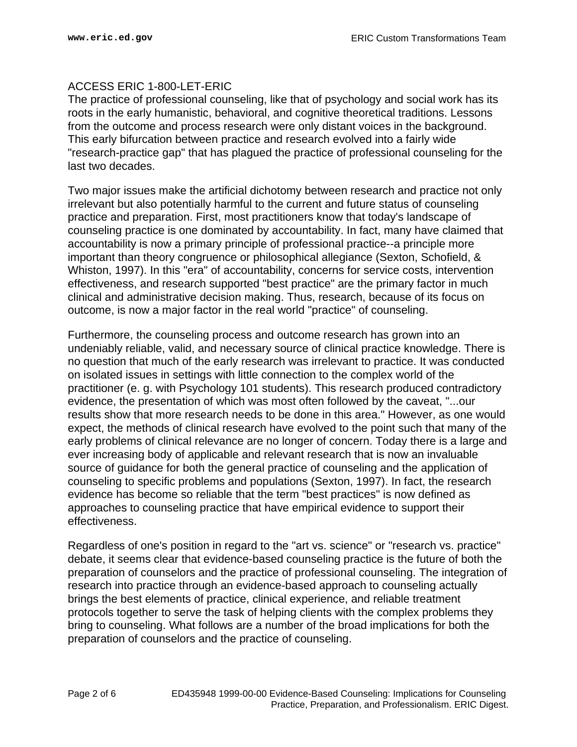#### ACCESS ERIC 1-800-LET-ERIC

The practice of professional counseling, like that of psychology and social work has its roots in the early humanistic, behavioral, and cognitive theoretical traditions. Lessons from the outcome and process research were only distant voices in the background. This early bifurcation between practice and research evolved into a fairly wide "research-practice gap" that has plagued the practice of professional counseling for the last two decades.

Two major issues make the artificial dichotomy between research and practice not only irrelevant but also potentially harmful to the current and future status of counseling practice and preparation. First, most practitioners know that today's landscape of counseling practice is one dominated by accountability. In fact, many have claimed that accountability is now a primary principle of professional practice--a principle more important than theory congruence or philosophical allegiance (Sexton, Schofield, & Whiston, 1997). In this "era" of accountability, concerns for service costs, intervention effectiveness, and research supported "best practice" are the primary factor in much clinical and administrative decision making. Thus, research, because of its focus on outcome, is now a major factor in the real world "practice" of counseling.

Furthermore, the counseling process and outcome research has grown into an undeniably reliable, valid, and necessary source of clinical practice knowledge. There is no question that much of the early research was irrelevant to practice. It was conducted on isolated issues in settings with little connection to the complex world of the practitioner (e. g. with Psychology 101 students). This research produced contradictory evidence, the presentation of which was most often followed by the caveat, "...our results show that more research needs to be done in this area." However, as one would expect, the methods of clinical research have evolved to the point such that many of the early problems of clinical relevance are no longer of concern. Today there is a large and ever increasing body of applicable and relevant research that is now an invaluable source of guidance for both the general practice of counseling and the application of counseling to specific problems and populations (Sexton, 1997). In fact, the research evidence has become so reliable that the term "best practices" is now defined as approaches to counseling practice that have empirical evidence to support their effectiveness.

Regardless of one's position in regard to the "art vs. science" or "research vs. practice" debate, it seems clear that evidence-based counseling practice is the future of both the preparation of counselors and the practice of professional counseling. The integration of research into practice through an evidence-based approach to counseling actually brings the best elements of practice, clinical experience, and reliable treatment protocols together to serve the task of helping clients with the complex problems they bring to counseling. What follows are a number of the broad implications for both the preparation of counselors and the practice of counseling.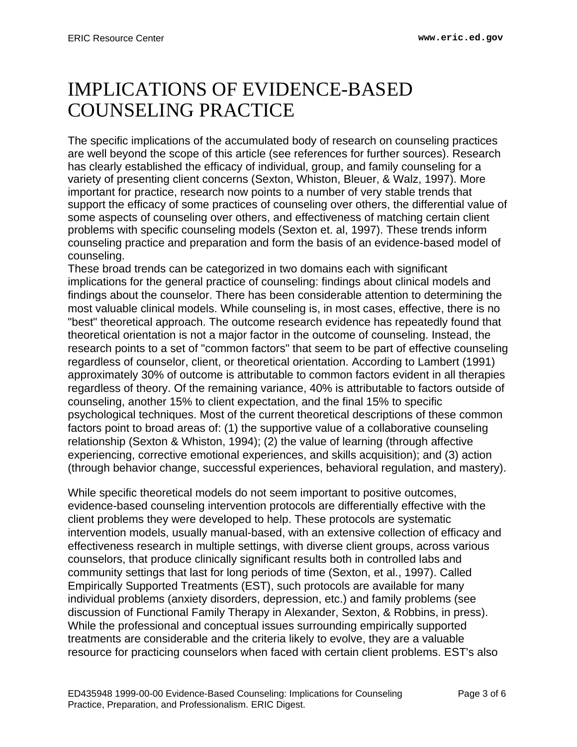## <span id="page-2-0"></span>IMPLICATIONS OF EVIDENCE-BASED COUNSELING PRACTICE

The specific implications of the accumulated body of research on counseling practices are well beyond the scope of this article (see references for further sources). Research has clearly established the efficacy of individual, group, and family counseling for a variety of presenting client concerns (Sexton, Whiston, Bleuer, & Walz, 1997). More important for practice, research now points to a number of very stable trends that support the efficacy of some practices of counseling over others, the differential value of some aspects of counseling over others, and effectiveness of matching certain client problems with specific counseling models (Sexton et. al, 1997). These trends inform counseling practice and preparation and form the basis of an evidence-based model of counseling.

These broad trends can be categorized in two domains each with significant implications for the general practice of counseling: findings about clinical models and findings about the counselor. There has been considerable attention to determining the most valuable clinical models. While counseling is, in most cases, effective, there is no "best" theoretical approach. The outcome research evidence has repeatedly found that theoretical orientation is not a major factor in the outcome of counseling. Instead, the research points to a set of "common factors" that seem to be part of effective counseling regardless of counselor, client, or theoretical orientation. According to Lambert (1991) approximately 30% of outcome is attributable to common factors evident in all therapies regardless of theory. Of the remaining variance, 40% is attributable to factors outside of counseling, another 15% to client expectation, and the final 15% to specific psychological techniques. Most of the current theoretical descriptions of these common factors point to broad areas of: (1) the supportive value of a collaborative counseling relationship (Sexton & Whiston, 1994); (2) the value of learning (through affective experiencing, corrective emotional experiences, and skills acquisition); and (3) action (through behavior change, successful experiences, behavioral regulation, and mastery).

While specific theoretical models do not seem important to positive outcomes, evidence-based counseling intervention protocols are differentially effective with the client problems they were developed to help. These protocols are systematic intervention models, usually manual-based, with an extensive collection of efficacy and effectiveness research in multiple settings, with diverse client groups, across various counselors, that produce clinically significant results both in controlled labs and community settings that last for long periods of time (Sexton, et al., 1997). Called Empirically Supported Treatments (EST), such protocols are available for many individual problems (anxiety disorders, depression, etc.) and family problems (see discussion of Functional Family Therapy in Alexander, Sexton, & Robbins, in press). While the professional and conceptual issues surrounding empirically supported treatments are considerable and the criteria likely to evolve, they are a valuable resource for practicing counselors when faced with certain client problems. EST's also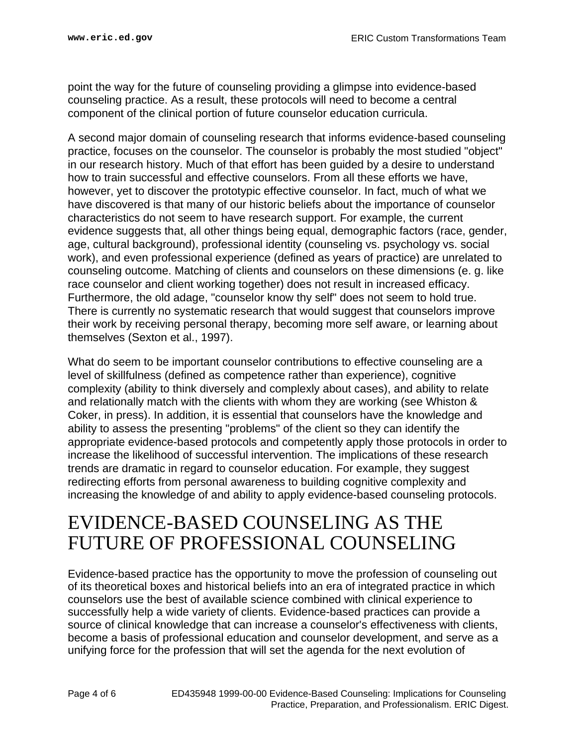point the way for the future of counseling providing a glimpse into evidence-based counseling practice. As a result, these protocols will need to become a central component of the clinical portion of future counselor education curricula.

A second major domain of counseling research that informs evidence-based counseling practice, focuses on the counselor. The counselor is probably the most studied "object" in our research history. Much of that effort has been guided by a desire to understand how to train successful and effective counselors. From all these efforts we have, however, yet to discover the prototypic effective counselor. In fact, much of what we have discovered is that many of our historic beliefs about the importance of counselor characteristics do not seem to have research support. For example, the current evidence suggests that, all other things being equal, demographic factors (race, gender, age, cultural background), professional identity (counseling vs. psychology vs. social work), and even professional experience (defined as years of practice) are unrelated to counseling outcome. Matching of clients and counselors on these dimensions (e. g. like race counselor and client working together) does not result in increased efficacy. Furthermore, the old adage, "counselor know thy self" does not seem to hold true. There is currently no systematic research that would suggest that counselors improve their work by receiving personal therapy, becoming more self aware, or learning about themselves (Sexton et al., 1997).

What do seem to be important counselor contributions to effective counseling are a level of skillfulness (defined as competence rather than experience), cognitive complexity (ability to think diversely and complexly about cases), and ability to relate and relationally match with the clients with whom they are working (see Whiston & Coker, in press). In addition, it is essential that counselors have the knowledge and ability to assess the presenting "problems" of the client so they can identify the appropriate evidence-based protocols and competently apply those protocols in order to increase the likelihood of successful intervention. The implications of these research trends are dramatic in regard to counselor education. For example, they suggest redirecting efforts from personal awareness to building cognitive complexity and increasing the knowledge of and ability to apply evidence-based counseling protocols.

## <span id="page-3-0"></span>EVIDENCE-BASED COUNSELING AS THE FUTURE OF PROFESSIONAL COUNSELING

Evidence-based practice has the opportunity to move the profession of counseling out of its theoretical boxes and historical beliefs into an era of integrated practice in which counselors use the best of available science combined with clinical experience to successfully help a wide variety of clients. Evidence-based practices can provide a source of clinical knowledge that can increase a counselor's effectiveness with clients, become a basis of professional education and counselor development, and serve as a unifying force for the profession that will set the agenda for the next evolution of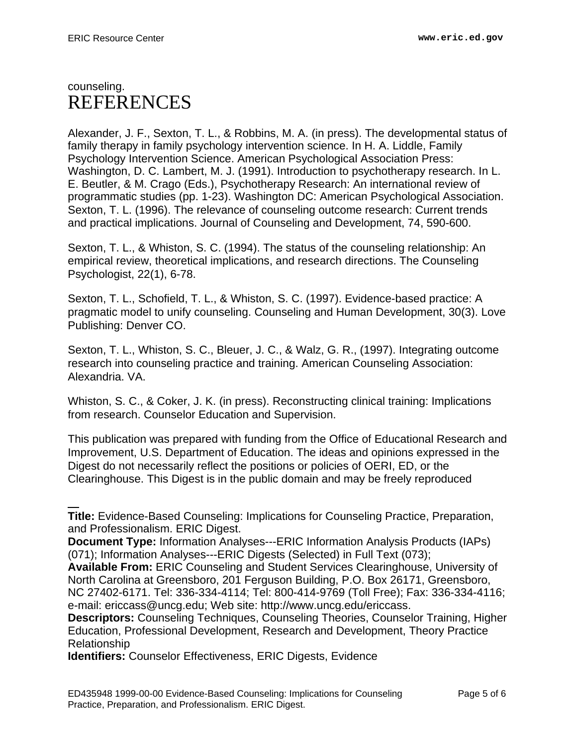### <span id="page-4-0"></span>counseling. REFERENCES

Alexander, J. F., Sexton, T. L., & Robbins, M. A. (in press). The developmental status of family therapy in family psychology intervention science. In H. A. Liddle, Family Psychology Intervention Science. American Psychological Association Press: Washington, D. C. Lambert, M. J. (1991). Introduction to psychotherapy research. In L. E. Beutler, & M. Crago (Eds.), Psychotherapy Research: An international review of programmatic studies (pp. 1-23). Washington DC: American Psychological Association. Sexton, T. L. (1996). The relevance of counseling outcome research: Current trends and practical implications. Journal of Counseling and Development, 74, 590-600.

Sexton, T. L., & Whiston, S. C. (1994). The status of the counseling relationship: An empirical review, theoretical implications, and research directions. The Counseling Psychologist, 22(1), 6-78.

Sexton, T. L., Schofield, T. L., & Whiston, S. C. (1997). Evidence-based practice: A pragmatic model to unify counseling. Counseling and Human Development, 30(3). Love Publishing: Denver CO.

Sexton, T. L., Whiston, S. C., Bleuer, J. C., & Walz, G. R., (1997). Integrating outcome research into counseling practice and training. American Counseling Association: Alexandria. VA.

Whiston, S. C., & Coker, J. K. (in press). Reconstructing clinical training: Implications from research. Counselor Education and Supervision.

This publication was prepared with funding from the Office of Educational Research and Improvement, U.S. Department of Education. The ideas and opinions expressed in the Digest do not necessarily reflect the positions or policies of OERI, ED, or the Clearinghouse. This Digest is in the public domain and may be freely reproduced

**Title:** Evidence-Based Counseling: Implications for Counseling Practice, Preparation, and Professionalism. ERIC Digest.

**Document Type:** Information Analyses---ERIC Information Analysis Products (IAPs) (071); Information Analyses---ERIC Digests (Selected) in Full Text (073);

**Available From:** ERIC Counseling and Student Services Clearinghouse, University of North Carolina at Greensboro, 201 Ferguson Building, P.O. Box 26171, Greensboro, NC 27402-6171. Tel: 336-334-4114; Tel: 800-414-9769 (Toll Free); Fax: 336-334-4116; e-mail: ericcass@uncg.edu; Web site: http://www.uncg.edu/ericcass.

**Descriptors:** Counseling Techniques, Counseling Theories, Counselor Training, Higher Education, Professional Development, Research and Development, Theory Practice Relationship

**Identifiers:** Counselor Effectiveness, ERIC Digests, Evidence